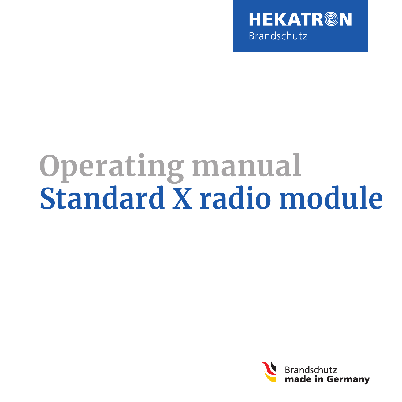

# **Operating manual Standard X radio module**

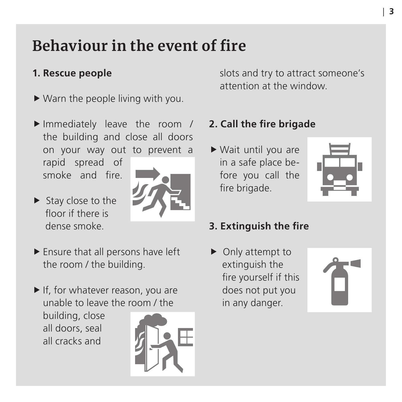### <span id="page-2-0"></span>**Behaviour in the event of fire**

### **1. Rescue people**

- $\blacktriangleright$  Warn the people living with you.
- Immediately leave the room / the building and close all doors on your way out to prevent a rapid spread of smoke and fire.
- $\blacktriangleright$  Stay close to the floor if there is dense smoke.



- $\blacktriangleright$  Ensure that all persons have left the room / the building.
- $\blacktriangleright$  If, for whatever reason, you are unable to leave the room / the

building, close all doors, seal all cracks and



slots and try to attract someone's attention at the window.

### **2. Call the fire brigade**

 $\blacktriangleright$  Wait until you are in a safe place before you call the fire brigade.



### **3. Extinguish the fire**

 $\triangleright$  Only attempt to extinguish the fire yourself if this does not put you in any danger.

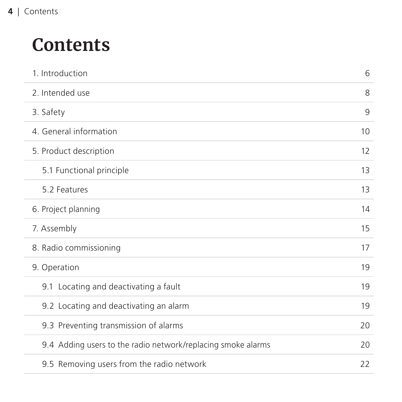## **Contents**

| 1. Introduction                                              | 6  |
|--------------------------------------------------------------|----|
| 2. Intended use                                              | 8  |
| 3. Safety                                                    | 9  |
| 4. General information                                       | 10 |
| 5. Product description                                       | 12 |
| 5.1 Functional principle                                     | 13 |
| 5.2 Features                                                 | 13 |
| 6. Project planning                                          | 14 |
| 7. Assembly                                                  | 15 |
| 8. Radio commissioning                                       | 17 |
| 9. Operation                                                 | 19 |
| 9.1 Locating and deactivating a fault                        | 19 |
| 9.2 Locating and deactivating an alarm                       | 19 |
| 9.3 Preventing transmission of alarms                        | 20 |
| 9.4 Adding users to the radio network/replacing smoke alarms | 20 |
| 9.5 Removing users from the radio network                    | 22 |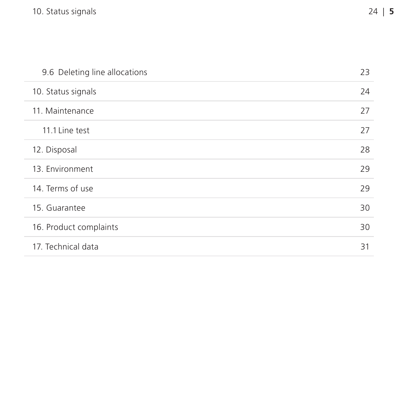| 9.6 Deleting line allocations | 23 |
|-------------------------------|----|
| 10. Status signals            | 24 |
| 11. Maintenance               | 27 |
| 11.1 Line test                | 27 |
| 12. Disposal                  | 28 |
| 13. Environment               | 29 |
| 14. Terms of use              | 29 |
| 15. Guarantee                 | 30 |
| 16. Product complaints        | 30 |
| 17. Technical data            | 31 |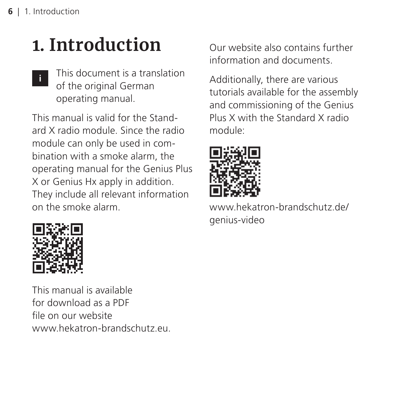## <span id="page-5-0"></span>**1. Introduction**

This document is a translation of the original German operating manual. **i**

This manual is valid for the Standard X radio module. Since the radio module can only be used in combination with a smoke alarm, the operating manual for the Genius Plus X or Genius Hx apply in addition. They include all relevant information on the smoke alarm.



This manual is available for download as a PDF file on our website [www.hekatron-brandschutz.eu](http://hekatron-brandschutz.de). Our website also contains further information and documents.

Additionally, there are various tutorials available for the assembly and commissioning of the Genius Plus X with the Standard X radio module:



[www.hekatron-brandschutz.de/](http://hekatron-brandschutz.de/genius-video) [genius-video](http://hekatron-brandschutz.de/genius-video)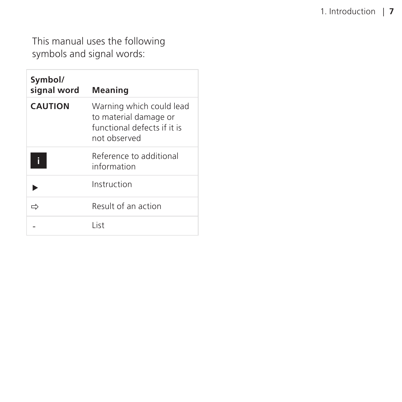This manual uses the following symbols and signal words:

| Symbol/<br>signal word | Meaning                                                                                          |
|------------------------|--------------------------------------------------------------------------------------------------|
| <b>CAUTION</b>         | Warning which could lead<br>to material damage or<br>functional defects if it is<br>not observed |
|                        | Reference to additional<br>information                                                           |
|                        | Instruction                                                                                      |
|                        | Result of an action                                                                              |
|                        | l ist                                                                                            |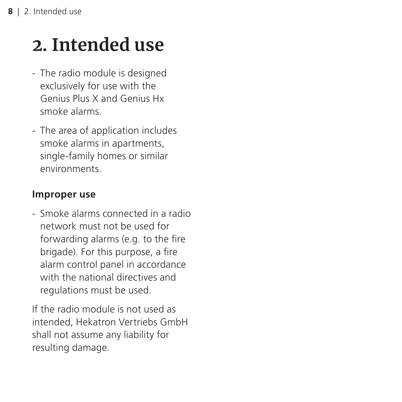## <span id="page-7-0"></span>**2. Intended use**

- The radio module is designed exclusively for use with the Genius Plus X and Genius Hx smoke alarms.
- The area of application includes smoke alarms in apartments, single-family homes or similar environments.

#### **Improper use**

- Smoke alarms connected in a radio network must not be used for forwarding alarms (e.g. to the fire brigade). For this purpose, a fire alarm control panel in accordance with the national directives and regulations must be used.

If the radio module is not used as intended, Hekatron Vertriebs GmbH shall not assume any liability for resulting damage.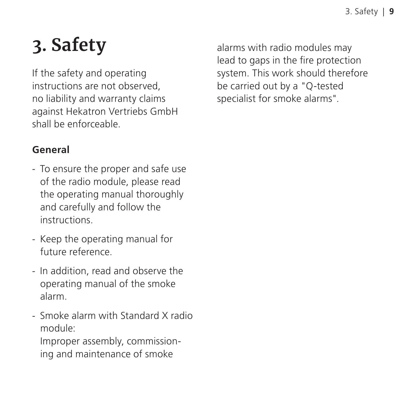## <span id="page-8-0"></span>**3. Safety**

If the safety and operating instructions are not observed, no liability and warranty claims against Hekatron Vertriebs GmbH shall be enforceable.

### **General**

- To ensure the proper and safe use of the radio module, please read the operating manual thoroughly and carefully and follow the instructions.
- Keep the operating manual for future reference.
- In addition, read and observe the operating manual of the smoke alarm.
- Smoke alarm with Standard X radio module: Improper assembly, commissioning and maintenance of smoke

alarms with radio modules may lead to gaps in the fire protection system. This work should therefore be carried out by a "Q-tested specialist for smoke alarms".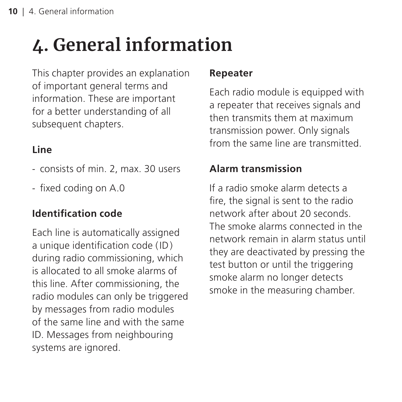## <span id="page-9-0"></span>**4. General information**

This chapter provides an explanation of important general terms and information. These are important for a better understanding of all subsequent chapters.

### **Line**

- consists of min. 2, max. 30 users
- fixed coding on A.0

### **Identification code**

Each line is automatically assigned a unique identification code (ID) during radio commissioning, which is allocated to all smoke alarms of this line. After commissioning, the radio modules can only be triggered by messages from radio modules of the same line and with the same ID. Messages from neighbouring systems are ignored.

### **Repeater**

Each radio module is equipped with a repeater that receives signals and then transmits them at maximum transmission power. Only signals from the same line are transmitted.

### **Alarm transmission**

If a radio smoke alarm detects a fire, the signal is sent to the radio network after about 20 seconds. The smoke alarms connected in the network remain in alarm status until they are deactivated by pressing the test button or until the triggering smoke alarm no longer detects smoke in the measuring chamber.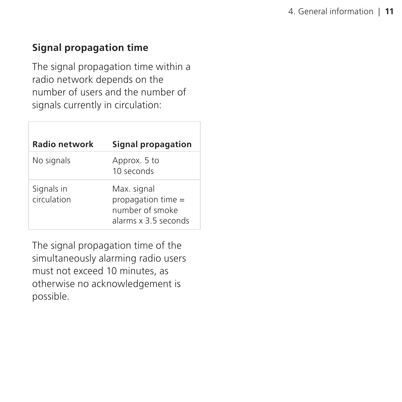### **Signal propagation time**

The signal propagation time within a radio network depends on the number of users and the number of signals currently in circulation:

| <b>Radio network</b>      | Signal propagation                                                           |
|---------------------------|------------------------------------------------------------------------------|
| No signals                | Approx. 5 to<br>10 seconds                                                   |
| Signals in<br>circulation | Max. signal<br>propagation time =<br>number of smoke<br>alarms x 3.5 seconds |

The signal propagation time of the simultaneously alarming radio users must not exceed 10 minutes, as otherwise no acknowledgement is possible.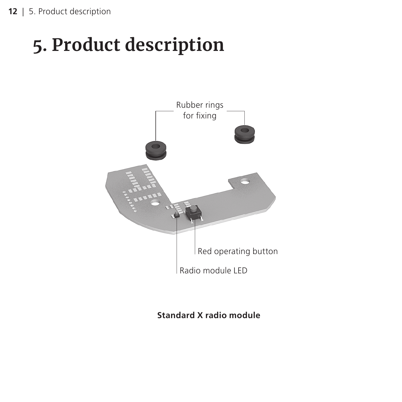## <span id="page-11-0"></span>**5. Product description**



**Standard X radio module**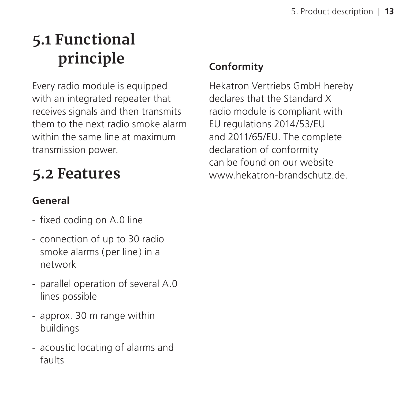### <span id="page-12-0"></span>**5.1 Functional principle**

Every radio module is equipped with an integrated repeater that receives signals and then transmits them to the next radio smoke alarm within the same line at maximum transmission power.

### **5.2 Features**

### **General**

- fixed coding on A.0 line
- connection of up to 30 radio smoke alarms (per line) in a network
- parallel operation of several A.0 lines possible
- approx. 30 m range within buildings
- acoustic locating of alarms and faults

### **Conformity**

Hekatron Vertriebs GmbH hereby declares that the Standard X radio module is compliant with EU regulations 2014/53/EU and 2011/65/EU. The complete declaration of conformity can be found on our website [www.hekatron-brandschutz.de](http://hekatron-brandschutz.de).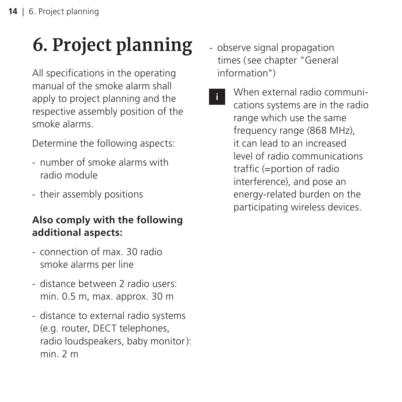## <span id="page-13-0"></span>**6. Project planning**

All specifications in the operating manual of the smoke alarm shall apply to project planning and the respective assembly position of the smoke alarms.

Determine the following aspects:

- number of smoke alarms with radio module
- their assembly positions

### **Also comply with the following additional aspects:**

- connection of max. 30 radio smoke alarms per line
- distance between 2 radio users: min. 0.5 m, max. approx. 30 m
- distance to external radio systems (e.g. router, DECT telephones, radio loudspeakers, baby monitor): min. 2 m
- observe signal propagation times [\(see chapter "General](#page-11-0)  [information"\)](#page-11-0)
	- When external radio communications systems are in the radio range which use the same frequency range (868 MHz), it can lead to an increased level of radio communications traffic (=portion of radio interference), and pose an energy-related burden on the participating wireless devices. **i**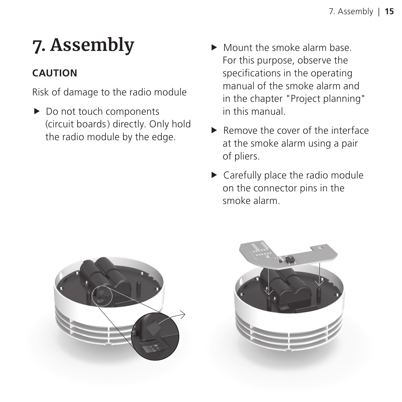## <span id="page-14-0"></span>**7. Assembly**

### **CAUTION**

Risk of damage to the radio module

- $\blacktriangleright$  Do not touch components (circuit boards) directly. Only hold the radio module by the edge.
- $\blacktriangleright$  Mount the smoke alarm base. For this purpose, observe the specifications in the operating manual of the smoke alarm and in the chapter "Project planning" in this manual.
- $\blacktriangleright$  Remove the cover of the interface at the smoke alarm using a pair of pliers.
- $\blacktriangleright$  Carefully place the radio module on the connector pins in the smoke alarm.



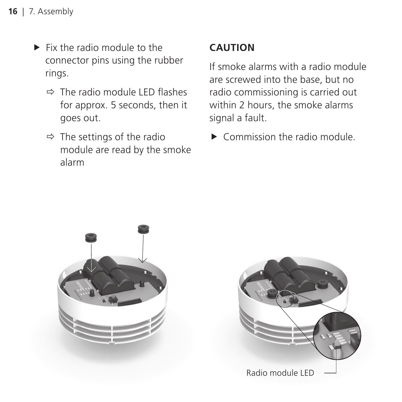- $\blacktriangleright$  Fix the radio module to the connector pins using the rubber rings.
	- $\Rightarrow$  The radio module LED flashes for approx. 5 seconds, then it goes out.
	- $\Rightarrow$  The settings of the radio module are read by the smoke alarm

### **CAUTION**

If smoke alarms with a radio module are screwed into the base, but no radio commissioning is carried out within 2 hours, the smoke alarms signal a fault.

 $\triangleright$  Commission the radio module.



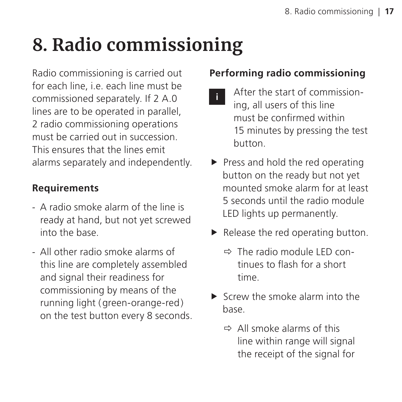## <span id="page-16-0"></span>**8. Radio commissioning**

Radio commissioning is carried out for each line, i.e. each line must be commissioned separately. If 2 A.0 lines are to be operated in parallel, 2 radio commissioning operations must be carried out in succession. This ensures that the lines emit alarms separately and independently.

#### **Requirements**

- A radio smoke alarm of the line is ready at hand, but not yet screwed into the base.
- All other radio smoke alarms of this line are completely assembled and signal their readiness for commissioning by means of the running light (green-orange-red) on the test button every 8 seconds.

### **Performing radio commissioning**

- After the start of commissioning, all users of this line must be confirmed within 15 minutes by pressing the test button. **i**
- $\blacktriangleright$  Press and hold the red operating button on the ready but not yet mounted smoke alarm for at least 5 seconds until the radio module LED lights up permanently.
- $\blacktriangleright$  Release the red operating button.
	- $\Rightarrow$  The radio module LED continues to flash for a short time.
- $\blacktriangleright$  Screw the smoke alarm into the base.
	- $\Rightarrow$  All smoke alarms of this line within range will signal the receipt of the signal for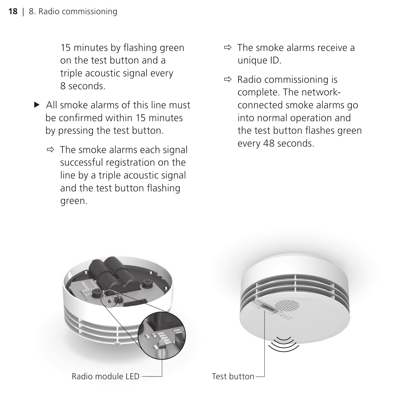15 minutes by flashing green on the test button and a triple acoustic signal every 8 seconds.

- $\blacktriangleright$  All smoke alarms of this line must be confirmed within 15 minutes by pressing the test button.
	- $\Rightarrow$  The smoke alarms each signal successful registration on the line by a triple acoustic signal and the test button flashing green.
- $\Rightarrow$  The smoke alarms receive a unique ID.
- $\Rightarrow$  Radio commissioning is complete. The networkconnected smoke alarms go into normal operation and the test button flashes green every 48 seconds.



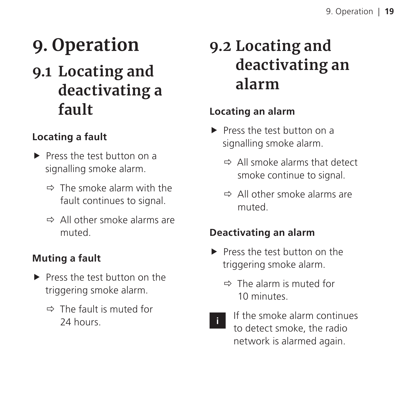## <span id="page-18-0"></span>**9. Operation**

### **9.1 Locating and deactivating a fault**

### **Locating a fault**

- Press the test button on a signalling smoke alarm.
	- $\Rightarrow$  The smoke alarm with the fault continues to signal.
	- $\Rightarrow$  All other smoke alarms are muted.

### **Muting a fault**

- Press the test button on the triggering smoke alarm.
	- $\Rightarrow$  The fault is muted for 24 hours.

### **9.2 Locating and deactivating an alarm**

### **Locating an alarm**

- $\blacktriangleright$  Press the test button on a signalling smoke alarm.
	- $\Rightarrow$  All smoke alarms that detect smoke continue to signal.
	- Ö All other smoke alarms are muted.

### **Deactivating an alarm**

- Press the test button on the triggering smoke alarm.
	- $\Rightarrow$  The alarm is muted for 10 minutes.
- 

If the smoke alarm continues to detect smoke, the radio network is alarmed again.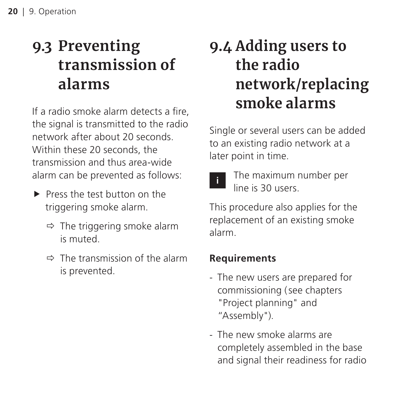### <span id="page-19-0"></span>**9.3 Preventing transmission of alarms**

If a radio smoke alarm detects a fire, the signal is transmitted to the radio network after about 20 seconds. Within these 20 seconds, the transmission and thus area-wide alarm can be prevented as follows:

- $\blacktriangleright$  Press the test button on the triggering smoke alarm.
	- $\Rightarrow$  The triggering smoke alarm is muted.
	- $\Rightarrow$  The transmission of the alarm is prevented.

### **9.4 Adding users to the radio network/replacing smoke alarms**

Single or several users can be added to an existing radio network at a later point in time.



The maximum number per line is 30 users.

This procedure also applies for the replacement of an existing smoke alarm.

#### **Requirements**

- The new users are prepared for commissioning (see chapters ["Project planning"](#page-14-0) and ["Assembly"](#page-25-0)).
- The new smoke alarms are completely assembled in the base and signal their readiness for radio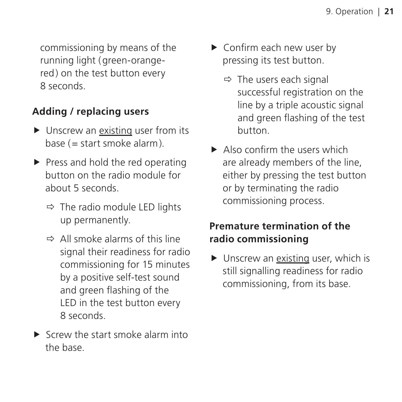commissioning by means of the running light (green-orangered) on the test button every 8 seconds.

#### **Adding / replacing users**

- $\blacktriangleright$  Unscrew an existing user from its base (= start smoke alarm).
- $\blacktriangleright$  Press and hold the red operating button on the radio module for about 5 seconds.
	- $\Rightarrow$  The radio module LED lights up permanently.
	- $\Rightarrow$  All smoke alarms of this line signal their readiness for radio commissioning for 15 minutes by a positive self-test sound and green flashing of the LED in the test button every 8 seconds.
- $\blacktriangleright$  Screw the start smoke alarm into the base.
- $\triangleright$  Confirm each new user by pressing its test button.
	- $\Rightarrow$  The users each signal successful registration on the line by a triple acoustic signal and green flashing of the test button.
- $\blacktriangleright$  Also confirm the users which are already members of the line, either by pressing the test button or by terminating the radio commissioning process.

### **Premature termination of the radio commissioning**

 $\blacktriangleright$  Unscrew an existing user, which is still signalling readiness for radio commissioning, from its base.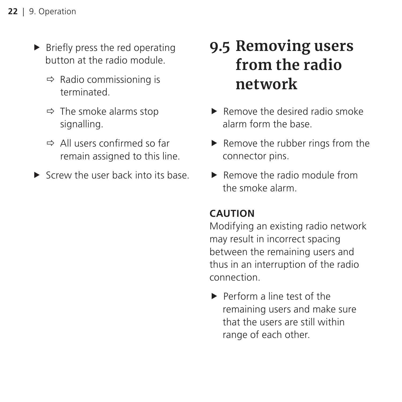- <span id="page-21-0"></span> $\blacktriangleright$  Briefly press the red operating button at the radio module.
	- $\Rightarrow$  Radio commissioning is terminated.
	- $\Rightarrow$  The smoke alarms stop signalling.
	- $\Rightarrow$  All users confirmed so far remain assigned to this line.
- $\blacktriangleright$  Screw the user back into its base.

### **9.5 Removing users from the radio network**

- $\blacktriangleright$  Remove the desired radio smoke alarm form the base.
- $\blacktriangleright$  Remove the rubber rings from the connector pins.
- $\blacktriangleright$  Remove the radio module from the smoke alarm.

### **CAUTION**

Modifying an existing radio network may result in incorrect spacing between the remaining users and thus in an interruption of the radio connection.

 $\blacktriangleright$  Perform a line test of the remaining users and make sure that the users are still within range of each other.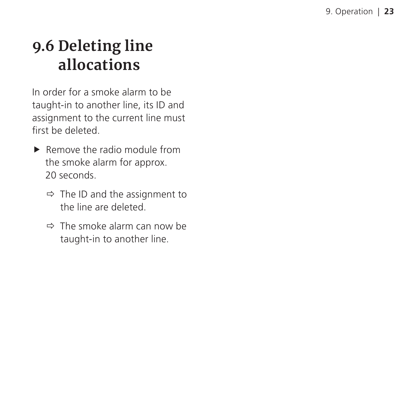### <span id="page-22-0"></span>**9.6 Deleting line allocations**

In order for a smoke alarm to be taught-in to another line, its ID and assignment to the current line must first be deleted.

- $\blacktriangleright$  Remove the radio module from the smoke alarm for approx. 20 seconds.
	- $\Rightarrow$  The ID and the assignment to the line are deleted.
	- $\Rightarrow$  The smoke alarm can now be taught-in to another line.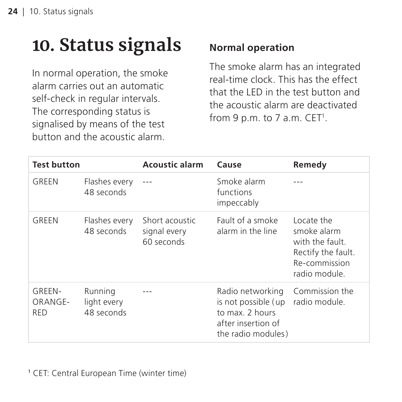## <span id="page-23-0"></span>**10. Status signals**

In normal operation, the smoke alarm carries out an automatic self-check in regular intervals. The corresponding status is signalised by means of the test button and the acoustic alarm.

### **Normal operation**

The smoke alarm has an integrated real-time clock. This has the effect that the LED in the test button and the acoustic alarm are deactivated from 9 p.m. to 7 a.m. CET<sup>1</sup>.

| <b>Test button</b>              |                                      | <b>Acoustic alarm</b>                        | Cause                                                                                                  | Remedy                                                                                               |
|---------------------------------|--------------------------------------|----------------------------------------------|--------------------------------------------------------------------------------------------------------|------------------------------------------------------------------------------------------------------|
| GRFFN                           | Flashes every<br>48 seconds          |                                              | Smoke alarm<br>functions<br>impeccably                                                                 |                                                                                                      |
| GREEN                           | Flashes every<br>48 seconds          | Short acoustic<br>signal every<br>60 seconds | Fault of a smoke<br>alarm in the line                                                                  | Locate the<br>smoke alarm<br>with the fault.<br>Rectify the fault.<br>Re-commission<br>radio module. |
| GRFFN-<br>ORANGE-<br><b>RFD</b> | Running<br>light every<br>48 seconds |                                              | Radio networking<br>is not possible (up<br>to max. 2 hours<br>after insertion of<br>the radio modules) | Commission the<br>radio module.                                                                      |

1 CET: Central European Time (winter time)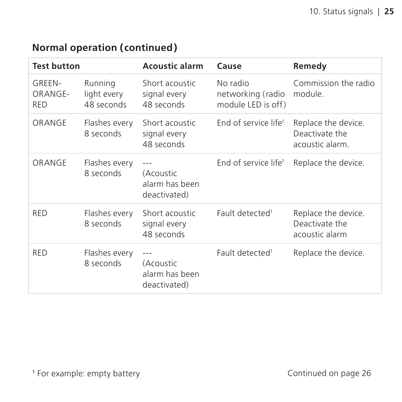| Normal operation (continued) |  |
|------------------------------|--|
|------------------------------|--|

| <b>Test button</b>              |                                      | <b>Acoustic alarm</b>                                | Cause                                               | Remedy                                                   |
|---------------------------------|--------------------------------------|------------------------------------------------------|-----------------------------------------------------|----------------------------------------------------------|
| GRFFN-<br>ORANGE-<br><b>RFD</b> | Running<br>light every<br>48 seconds | Short acoustic<br>signal every<br>48 seconds         | No radio<br>networking (radio<br>module LED is off) | Commission the radio<br>module.                          |
| ORANGE                          | Flashes every<br>8 seconds           | Short acoustic<br>signal every<br>48 seconds         | End of service life <sup>1</sup>                    | Replace the device.<br>Deactivate the<br>acoustic alarm. |
| ORANGE                          | Flashes every<br>8 seconds           | (Acoustic<br>alarm has been<br>deactivated)          | End of service life <sup>1</sup>                    | Replace the device.                                      |
| <b>RFD</b>                      | Flashes every<br>8 seconds           | Short acoustic<br>signal every<br>48 seconds         | Fault detected <sup>1</sup>                         | Replace the device.<br>Deactivate the<br>acoustic alarm  |
| <b>RFD</b>                      | Flashes every<br>8 seconds           | $---$<br>(Acoustic<br>alarm has been<br>deactivated) | Fault detected <sup>1</sup>                         | Replace the device.                                      |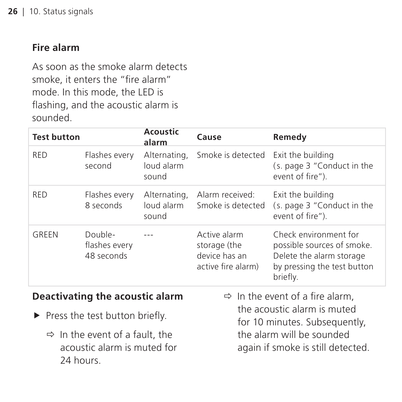#### <span id="page-25-0"></span>**Fire alarm**

As soon as the smoke alarm detects smoke, it enters the "fire alarm" mode. In this mode, the LED is flashing, and the acoustic alarm is sounded.

| <b>Test button</b>              |                                        | Acoustic<br>alarm                                                               | Cause                                                               | Remedy                                                                                                                     |
|---------------------------------|----------------------------------------|---------------------------------------------------------------------------------|---------------------------------------------------------------------|----------------------------------------------------------------------------------------------------------------------------|
| <b>RED</b>                      | Flashes every<br>second                | Alternating,<br>loud alarm<br>sound                                             | Smoke is detected                                                   | Exit the building<br>(s. page 3 "Conduct in the<br>event of fire").                                                        |
| <b>RED</b>                      | Flashes every<br>8 seconds             | Alternating,<br>loud alarm<br>sound                                             | Alarm received:<br>Smoke is detected                                | Exit the building<br>(s. page 3 "Conduct in the<br>event of fire").                                                        |
| GRFFN                           | Double-<br>flashes every<br>48 seconds |                                                                                 | Active alarm<br>storage (the<br>device has an<br>active fire alarm) | Check environment for<br>possible sources of smoke.<br>Delete the alarm storage<br>by pressing the test button<br>briefly. |
| Deactivating the acoustic alarm |                                        | $\Rightarrow$ In the event of a fire alarm,<br>the acoustic alarm is muted<br>. |                                                                     |                                                                                                                            |
| Press the test button briefly.  |                                        |                                                                                 |                                                                     |                                                                                                                            |

 $\Rightarrow$  In the event of a fault, the acoustic alarm is muted for 24 hours.

for 10 minutes. Subsequently, the alarm will be sounded again if smoke is still detected.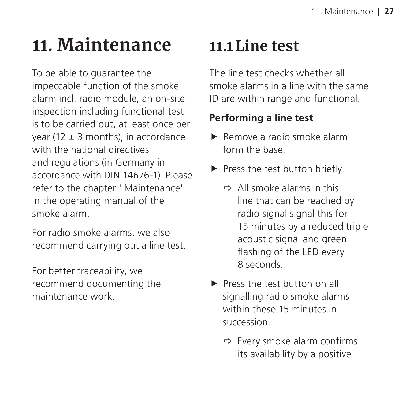## <span id="page-26-0"></span>**11. Maintenance**

To be able to guarantee the impeccable function of the smoke alarm incl. radio module, an on-site inspection including functional test is to be carried out, at least once per year (12  $\pm$  3 months), in accordance with the national directives and regulations (in Germany in accordance with DIN 14676-1). Please refer to the chapter "Maintenance" in the operating manual of the smoke alarm.

For radio smoke alarms, we also recommend carrying out a line test.

For better traceability, we recommend documenting the maintenance work.

### **11.1 Line test**

The line test checks whether all smoke alarms in a line with the same ID are within range and functional.

### **Performing a line test**

- $\blacktriangleright$  Remove a radio smoke alarm form the base.
- $\blacktriangleright$  Press the test button briefly.
	- $\Rightarrow$  All smoke alarms in this line that can be reached by radio signal signal this for 15 minutes by a reduced triple acoustic signal and green flashing of the LED every 8 seconds.
- $\blacktriangleright$  Press the test button on all signalling radio smoke alarms within these 15 minutes in succession.
	- $\Rightarrow$  Every smoke alarm confirms its availability by a positive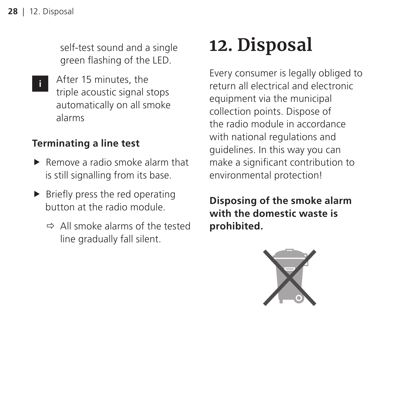<span id="page-27-0"></span>self-test sound and a single green flashing of the LED.

After 15 minutes, the triple acoustic signal stops automatically on all smoke alarms **i**

#### **Terminating a line test**

- $\blacktriangleright$  Remove a radio smoke alarm that is still signalling from its base.
- $\blacktriangleright$  Briefly press the red operating button at the radio module.
	- $\Rightarrow$  All smoke alarms of the tested line gradually fall silent.

## **12. Disposal**

Every consumer is legally obliged to return all electrical and electronic equipment via the municipal collection points. Dispose of the radio module in accordance with national regulations and guidelines. In this way you can make a significant contribution to environmental protection!

**Disposing of the smoke alarm with the domestic waste is prohibited.**

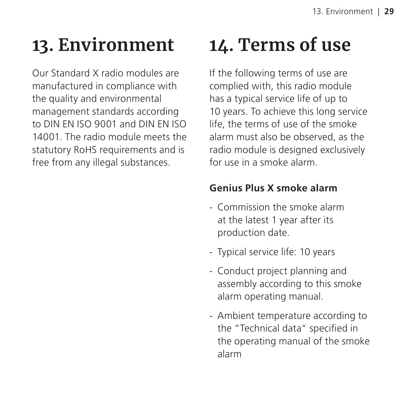## <span id="page-28-0"></span>**13. Environment**

Our Standard X radio modules are manufactured in compliance with the quality and environmental management standards according to DIN EN ISO 9001 and DIN EN ISO 14001. The radio module meets the statutory RoHS requirements and is free from any illegal substances.

## **14. Terms of use**

If the following terms of use are complied with, this radio module has a typical service life of up to 10 years. To achieve this long service life, the terms of use of the smoke alarm must also be observed, as the radio module is designed exclusively for use in a smoke alarm.

### **Genius Plus X smoke alarm**

- Commission the smoke alarm at the latest 1 year after its production date.
- Typical service life: 10 years
- Conduct project planning and assembly according to this smoke alarm operating manual.
- Ambient temperature according to the "Technical data" specified in the operating manual of the smoke alarm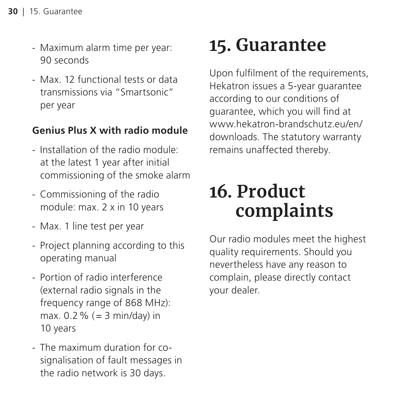- <span id="page-29-0"></span>- Maximum alarm time per year: 90 seconds
- Max. 12 functional tests or data transmissions via "Smartsonic" per year

### **Genius Plus X with radio module**

- Installation of the radio module: at the latest 1 year after initial commissioning of the smoke alarm
- Commissioning of the radio module: max. 2 x in 10 years
- Max. 1 line test per year
- Project planning according to this operating manual
- Portion of radio interference (external radio signals in the frequency range of 868 MHz): max.  $0.2\%$  (= 3 min/day) in 10 years
- The maximum duration for cosignalisation of fault messages in the radio network is 30 days.

## **15. Guarantee**

Upon fulfilment of the requirements, Hekatron issues a 5-year guarantee according to our conditions of guarantee, which you will find at www.hekatron-brandschutz.eu/en/ downloads. The statutory warranty remains unaffected thereby.

## **16. Product complaints**

Our radio modules meet the highest quality requirements. Should you nevertheless have any reason to complain, please directly contact your dealer.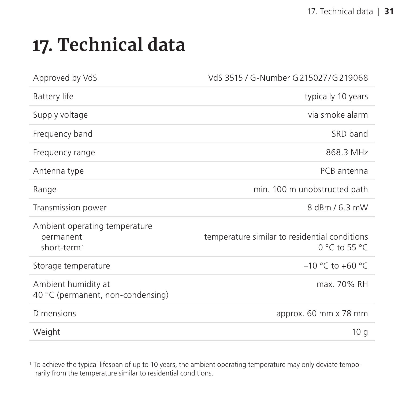## <span id="page-30-0"></span>**17. Technical data**

| Approved by VdS                                                       | VdS 3515 / G-Number G 215027/G 219068                          |
|-----------------------------------------------------------------------|----------------------------------------------------------------|
| Battery life                                                          | typically 10 years                                             |
| Supply voltage                                                        | via smoke alarm                                                |
| Frequency band                                                        | SRD band                                                       |
| Frequency range                                                       | 868.3 MHz                                                      |
| Antenna type                                                          | PCB antenna                                                    |
| Range                                                                 | min. 100 m unobstructed path                                   |
| Transmission power                                                    | 8 dBm / 6.3 mW                                                 |
| Ambient operating temperature<br>permanent<br>short-term <sup>1</sup> | temperature similar to residential conditions<br>0 °C to 55 °C |
| Storage temperature                                                   | $-10$ °C to +60 °C.                                            |
| Ambient humidity at<br>40 °C (permanent, non-condensing)              | max. 70% RH                                                    |
| Dimensions                                                            | approx. 60 mm x 78 mm                                          |
| Weight                                                                | 10q                                                            |

1 To achieve the typical lifespan of up to 10 years, the ambient operating temperature may only deviate temporarily from the temperature similar to residential conditions.